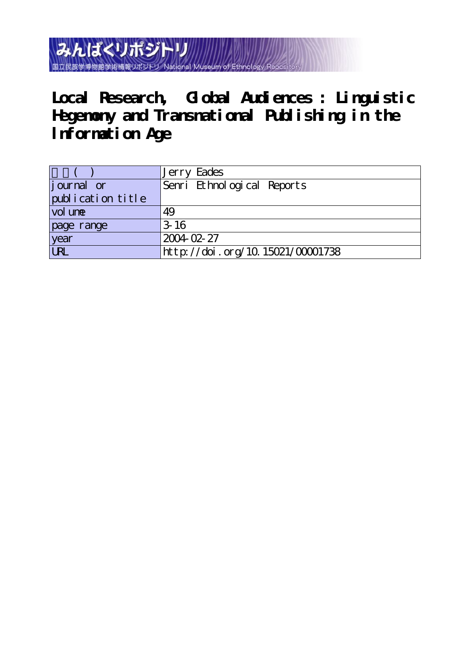みんぱくリポジトリ 国立民族学博物館学術情報リポジトリ

**Local Research, Global Audiences : Linguistic Hegemony and Transnational Publishing in the lnformation Age**

|                   | 'Jerry Eades                     |
|-------------------|----------------------------------|
| journal or        | Senri Ethnological Reports       |
| publication title |                                  |
| vol une           | 49                               |
| page range        | $3-16$                           |
| year              | 2004-02-27                       |
| $\overline{u}$    | http://doi.org/10.15021/00001738 |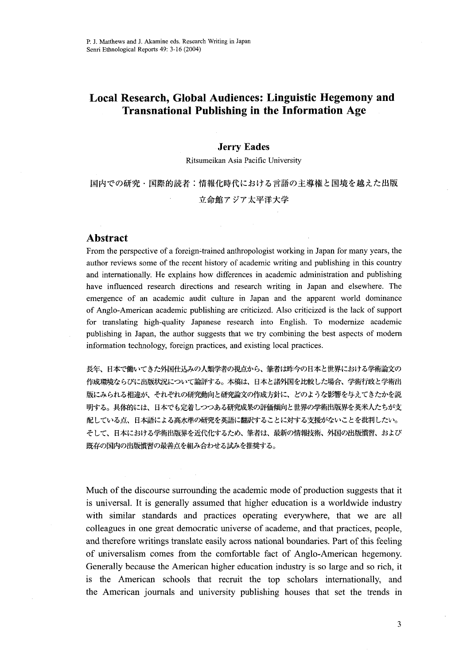# Local Research, Global Audiences: Linguistic Hegemony and Transnational Publishing in the lnfbrmation Age

# .Jerry Eades

Ritsumeikan Asia Pacific University

国内での研究・国際的読者:情報化時代における言語の主導権と国境を越えた出版 立命館アジア太平洋大学

# Abstract

From the perspective of a foreign-trained anthropologist working in Japan for many years, the author reviews some of the recent history of academic writing and publishing in this country and internationally. He explains how differences in academic administration and publishing have influenced research directions and research writing in Japan and elsewhere. The emergence of an academic audit culture in Japan and the apparent world dominance of Anglo-American academic publishing are criticized. Also criticized is the lack of support for translating high-quality Japanese research into English. To modernize academic publishing in Japan, the author suggests that we try combining the best aspects of modern information technology, foreign practices, and existing local practices.

長年、日本で働いてきた外国仕込みの人類学者の視点から、筆者は昨今の日本と世界における学術論文の 作成環境ならびに出版状況について論評する。本稿は、日本と諸外国を比較した場合、学術行政と学術出 版にみられる相違が、それぞれの研究動向と研究論文の作成方針に、どのような影響を与えてきたかを説 明する。具体的には、日本でも定着しつつある研究成果の評価傾向と世界の学術出版界を英米人たちが支 配している点、日本語による高水準の研究を英語に翻訳することに対する支援がないことを批判したい。 そして、日本における学術出版界を近代化するため、筆者は、最新の情報技術、外国の出版置習、および 既存の国内の出版慣習の最善点を組み合わせる試みを推奨する。

Much of the discourse surrounding the academic mode of production suggests that it is universal. It is generally assumed that higher education is a worldwide industry with similar standards and practices operating everywhere, that we are all colleagues in one great democratic universe of academe, and that practices, people, and therefore writings translate easily across national boundaries. Part of this feeling of universalism comes ffom the comfbrtable fact of Anglo-American hegemony. Generally because the American higher education industry is so large and so rich, it is the American schools that recruit the top scholars internationally, and the American journals and university publishing houses that set the trends in

3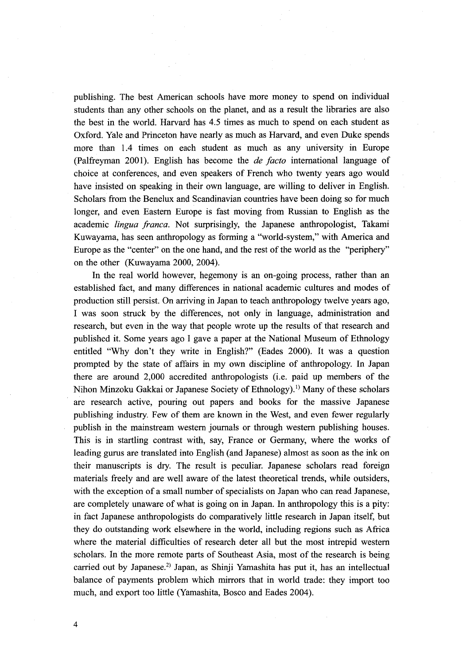publishing. The best American schools have more money to spend on individual students than any other schools on the planet, and as a result the libraries are also the best in the world. Harvard has 4.5 times as much to spend on each student as Oxford. Yale and Princeton have nearly as much as Harvard, and even Duke spends more than 1.4 times on each student as much as any university in Europe (Palfreyman 2001). English has become the *de facto* international language of choice at conferences, and even speakers of French who twenty years ago would have insisted on speaking in their own language, are willing to deliver in English. Scholars from the Benelux and Seandinavian countries have been doing so for much longer, and even Eastern Europe is fast moving from Russian to English as the academic *lingua franca*. Not surprisingly, the Japanese anthropologist, Takami Kuwayama, has seen anthropology as forming a "world-system," with America and Europe as the "center" on the one hand, and the rest of the world as the "periphery" on the other (Kuwayama 2000, 2004).

 In the real world however, hegemony is an on-going process, rather than an established fact, and many differences in national academic cultures and modes of production still persist. On aniving in Japan to teach anthropology twelve years ago, I was soon struck by the differences, not only in language, administration and research, but even in the way that people wrote up the results of that research and published it. Some years ago I gave a paper at the National Museum of Ethnology entitled "Why don't they write in English?" (Eades 2000). It was a question prompted by the state of affairs in my own discipline of anthropology. In Japan there are around 2,OOO accredited anthropologists (i.e. paid up members of the Nihon Minzoku Gakkai or Japanese Society of Ethnology).<sup>1)</sup> Many of these scholars are research active, pouring out papers and books for the massive Japanese publishing industry. Few of them are known in the West, and even fewer regularly publish in the mainstream western journals or through western publishing houses. This is in startling contrast with, say, France or Germany, where the works of leading gurus are translated into English (and Japanese) almost as soon as the ink on their manuscripts is dry. The result is peculiar. Japanese scholars read foreign materials freely and are well aware of the latest theoretical trends, while outsiders, with the exception of a small number of specialists on Japan who can read Japanese, are completely unaware of what is going on in Japan. In anthropology this is a pity: in fact Japanese anthropologists do comparatively little research in Japan itself, but they do outstanding work elsewhere in the world, including regions such as Africa where the material difficulties of research deter all but the most intrepid western scholars. In the more remote parts of Southeast Asia, most of the research is being carried out by Japanese.<sup>2)</sup> Japan, as Shinji Yamashita has put it, has an intellectual balance of payments problem which mirrors that in world trade: they import too much, and export too little (Yamashita, Bosco and Eades 2004).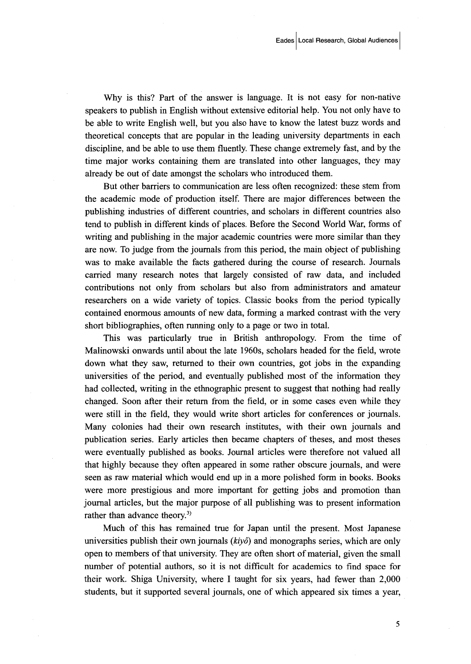Why is this? Part of the answer is language. It is not easy for non-native speakers to publish in English without extensive editorial help. You not only have to be able to write English well, but you also have to know the latest buzz words and theoretical concepts that are popular in the leading university departments in each discipline, and be able to use them fluently. These change extremely fast, and by the time major works containing them are translated into other languages, they may already be out of date amongst the scholars who introduced them.

 But other barriers to communication are less often recognized: these stem from the academic mode of production itsel£ There are major differences between the publishing industries of different countries, and scholars in different countries also tend to publish in different kinds of places. Before the Second World War, forms of writing and publishing in the major academic countries were more similar than they are now. To judge from the journals from this period, the main object of publishing was to make available the facts gathered during the course of research. Journals carried many research notes that largely consisted of raw data, and included contributions not only from scholars but also from administrators and amateur researchers on a wide variety of topics. Classic books from the period typically contained enormous amounts of new data, forming a marked contrast with the very short bibliographies, often running only to a page or two in tota1.

 This was particularly true in British anthropology. From the time of Malinowski onwards until about the late 1960s, scholars headed for the field, wrote down what they saw, returned to their own countries, got jobs in the expanding universities of the period, and eventually published most of the information they had collected, writing in the ethnographic present to suggest that nothing had really changed. Soon after their return from the field, or in some cases even while they were still in the field, they would write short articles for conferences or journals. Many colonies had their own research institutes, with their own journals and publication series. Early articles then became chapters of theses, and most theses were eventually published as books. Journal articles were therefbre not valued all that highly because they often appeared in some rather obscure journals, and were seen as raw material which would end up in a more polished form in books. Books were more prestigious and more important for getting jobs and promotion than joumal articles, but the major purpose of all publishing was to present information rather than advance theory.<sup>3)</sup>

 Much of this has remained true for Japan until the present. Most Japanese universities publish their own journals  $(kiy\hat{o})$  and monographs series, which are only open to members of that university. They are often short of material, given the small number of potential authors, so it is not difficult for academics to find space for their work. Shiga University, where I taught for six years, had fewer than  $2,000$ students, but it supported several journals, one of which appeared six times a year,

5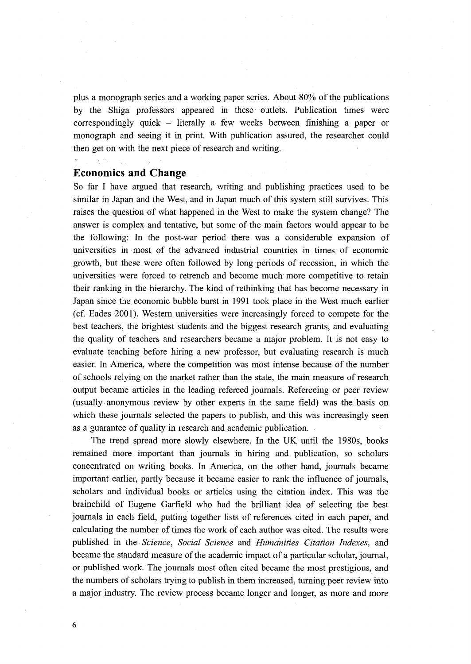plus a monograph series and a working paper series. About 80% of the publications by the Shiga professors appeared in these 'outlets. Publication times were correspondingly quick - literally a- few weeks between finishing a paper or monograph and seeing it in print. With publication assured, the researcher could then get on with the next piece of research and writing.

# Economics and Change

So far I have argued that research, writing and publishing practices used to be similar in Japan and the West, and in Japan much.of this system still survives. This raises the question of what happened in the West to make the system change? The answer is complex and tentative, but some of the main factors would appear to be the following: In the post-war period there was a considerable expansion of universities in most of the advanced industrial countries in times of economic growth, but these were often fo11owed by long periods of recession, in which the universities were forced to retrench and become much more competitive to retain their ranking in the hierarchy. The kind of rethinking that has become necessary in Japan since the economic bubble burst in 1991 took place in the West much earlier (cf. Eades 2001). Western universities were increasingly forced to compete fbr the best teachers, the brightest students and the biggest research grants, and evaluating the quality of teachers and researchers became a major problem. It is not easy to evaluate teaching before hiring a new professor, but evaluating research is much easier. In America, where the competition was most intense because of the number of schools relying on the market rather than the state, the main measure of research output became articles in the leading refereed journals. Refereeing or peer review (usually anonymous review by other experts in the same field) was the basis on which these journals selected the papers to publish, and this was increasingly seen as a guarantee of quality in research and academic publication.

The trend spread more slowly elsewhere. In the UK until the 1980s, books remained more important than journals in hiring and publication, so scholars concentrated on writing books. In America, on the other hand, journals became important earlier, partly because it became easier to rank the influence of journals, scholars and individual books or articles using the citation index. This was the brainchild of Eugene Garfield who had the brilliant idea of selecting the best journals in each field, putting together lists of references cited in each paper, and calculating the number of times the work of each author was cited. The resutts were published in the Science, Social Science and Humanities Citation Indexes, and became the standard measure of the academic impact of a particular scholar, joumal, or published work. The journals most often cited became the most prestigious, and the numbers of scholars trying to publish in them increased, turning peer review into a major industry. The review process became longer and longer, as more and more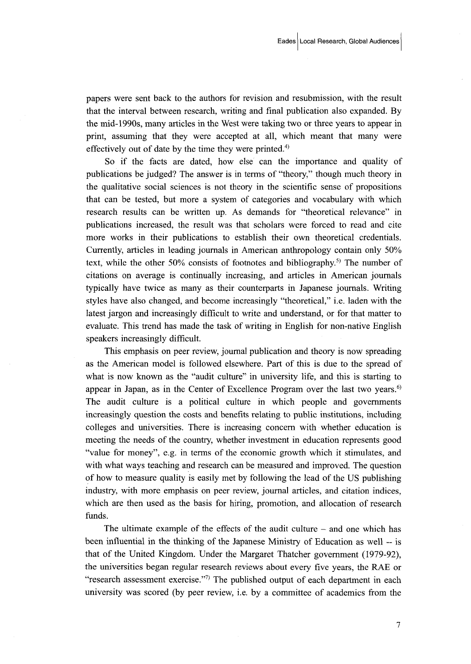papers were sent back to the authors for revision and resubmission, with the result that the interval between research, writing and final publication also expanded. By the mid-1990s, many articles in the West were taking two or three years to appear in print, assuming that they were accepted at all, which meant that many were effectively out of date by the time they were printed.<sup>4)</sup>

 So if the facts are dated, how eise' can the importance and quality of publications be judged? The answer is in terms of "theorys" though much theory in the qualitative social sciences is not theory in the scientific sense of propositions that can be tested, but more a system of categories and vocabulary with which research results can be written up. As demands for "theoretical relevance" in publications increased, the result was that scholars were fbrced to read and cite more works in their publications to establish their own theoretical credentials. Currently, articles in leading journals in American anthropology contain only 50% text, while the other 50% consists of footnotes and bibliography.<sup>5)</sup> The number of citations on average is continually increasing, and articles in American journals typically have twice as many as their counterparts in Japanese joumals. Wtiting styles have also changed, and become increasingly "theoretical," i.e. Iaden with the latest jargon and increasingly difficult to write and understand, or for that matter to evaluate. This trend has made the task of writing in English for non-native English speakers increasingly difficult.

 This emphasis on peer review, joumal publication and theory is now spreading as the American model is fo11owed elsewhere. Part of this is due to the spread of what is now known as the "audit culture" in university life, and this is starting to appear in Japan, as in the Center of Excellence Program over the last two years.<sup>6)</sup> The audit culture is a political culture in which people and govemments increasingly question the costs and benefits relating to public institutions, including colleges and universities. There is increasing concern with-whether education is meeting the needs of the country, whether investment in education represents good "value for money", e.g. in terms of the economic growth which it stimulates, and with what ways teaching and research can be measured and improved. The question gf how to measure quality is easily met by fbllowing the lead of the US publishing industry, with more emphasis on peer review, journal articles, and citation indices, which are then used as the basis for hiring, promotion, and allocation of research funds.

The ultimate example of the effects of the audit culture  $-$  and one which has been infiuential in the thinking of the Japanese Ministry of Edncation as well -- is that of the United Kingdom. Under the Margaret Thatcher government (1979-92), the universities began regular research reviews about every five years, the RAE or "research assessment exercise."<sup>7)</sup> The published output of each department in each university was scored (by peer review, i.e. by a committee of academics from the

7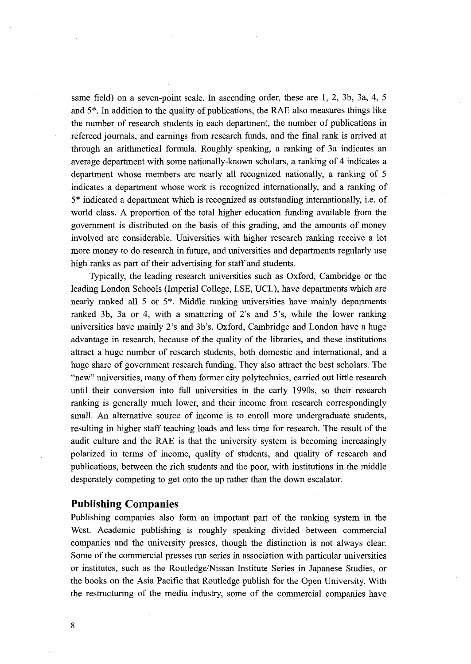same field) on a seven-point scale. In ascending order, these are 1, 2, 3b, 3a, 4, 5 and  $5^*$ . In addition to the quality of publications, the RAE also measures things like the number of research students in each department, the number of publications in refereed journals, and earnings from research imds, and the final rank is arrived at through an arithmetical fbrmula. Roughly speaking, a ranking of 3a indicates an average department with some nationally-known scholars, a ranking of 4 indicates a department whose members are nearly all recognized nationally, a ranking of 5 indicates a department whose work is recognized internationally, and a ranking of 5" indicated a department which is recognized as outstanding internationally, i.e. of world class. A proportion of the total higher education funding available from the government is distributed on the basis of this grading, and the amounts of money involved are considerable. Universities with higher research ranking receive a lot more money to do research in future, and universities and departments regularly use high ranks as part of their advertising for staff and students.

 Typically, the leading research universities such as Oxford, Cambridge or the leading London Schools (Imperial College, LSE, UCL), have departments which are nearly ranked all 5 or 5". Middle ranking universities have mainly departments ranked 3b, 3a or 4, with a smattering of 2's and 5's, while the lower ranking universities have mainly 2's and 3b's. Oxford, Cambridge and London have a huge advantage in research, because of the quality of the libraries, and these institutions attract a huge number of research students, both domestic and international, and a huge share of government research funding. They also attract the best scholars. The "new" universities, many of them forrner city polytechnics, carried out little research until their conversion into full universities in the early 1990s, so their research ranking is generally much lower, and their income from research correspondingly small. An altemative source of income is to enroll more undergraduate students, resulting in higher staff teaching loads and less time for research. The result of the audit culture and the RAE is that the university system is becoming increasingly polarized in terms of income, quality of students, and quality of research and publications, between the rich students and the poor, with institutions in the middle desperately competing to get onto the up rather than the down escalator.

#### Publishing Companies

Publishing companies also form an important part of the ranking system in the West. Academic publishing is roughly speaking divided between commercial companies and the university presses, though'the distinction is not always clear. Some of the commercial presses run series in association with panicular universities or institutes, such as the RoutledgelNissan Institute Series in Japanese Studies, or the books on the Asia Pacific that Routledge publish for the Open University. With the restructuring of the media industry, some of the commercial companies have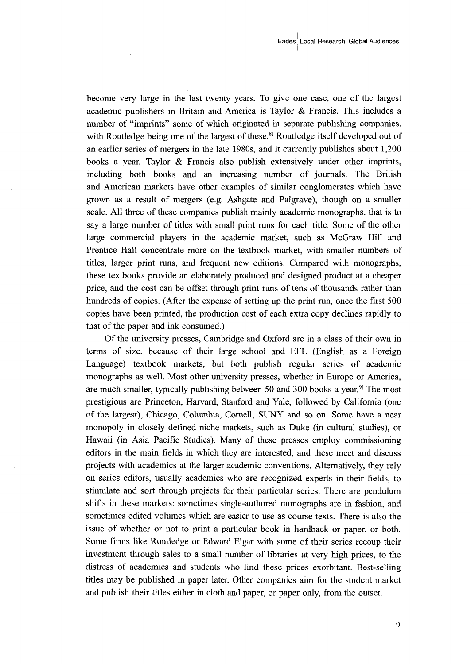become very large in the last twenty years. To give one case, one of the largest academic publishers in Britain and America is Taylor & Francis. This includes a number of "imprints" some of which originated in separate publishing companies, with Routledge being one of the largest of these.<sup>8)</sup> Routledge itself developed out of an earlier series of mergers in the late 1980s, and it currently publishes about 1,200 books a year. Taylor & Francis also publish extensively under other imprints, including both books and an increasing number of joumals. The British and American markets have other examples of similar conglomerates which have grown as a result of mergers (e.g. Ashgate and Palgrave), though on a smaller scale. All three of these companies publish mainly academic monographs, that is to say a large number of titles with small print runs for each title. Some of the other large commercial players in the academic market, such as McGraw Hill and Prentice Hall concentrate more on the textbook market, with smaller numbers of titles, larger print runs, and frequent new editions. Compared with monographs, these textbooks provide an elaborately produced and designed product at a cheaper price, and the cost can be offset through print runs of tens of thousands rather than hundreds of copies. (After the expense of setting up the print run, once the first 500 copies have been printed, the production cost of each extra copy declines rapidly to that of the paper and ink consumed.)

Of the university presses, Cambridge and Oxford are in a class of their own in terms of size, because of their large school and EFL (English as a Foreign Language) textbook markets, but both publish regular series of academic monographs as well. Most other university presses, whether in Europe or America, are much smaller, typically publishing between 50 and 300 books a year.<sup>9)</sup> The most prestigious are Princeton, Harvard, Stanford and Yale, followed by California (one of the largest), Chicago, Columbia, Cornell, SUNY and so on. Some have a near monopoly in closely defined niche markets, such as Duke (in cultural studies), or Hawaii (in Asia Pacific Studies). Many of these presses employ commissioning editors in the main fields in which they are interested, and these meet and discuss projects with academics at the larger academic conventions. Alternatively, they rely on series editors, usually academics who are recognized experts in their fields, to stimulate and sort through projects for their particular series. There are pendulum shifts in these markets: sometimes single-authored monographs are in fashion, and sometimes edited volumes which are easier to use as course texts. There is also the issue of whether or not to print a panicular book in hardback or paper, or both. Some firms like Routledge or Edward Elgar with some of their series recoup their investment through sales to a small number of libraries at very high prices, to the distress of academics and students who find these prices exorbitant. Best-selling titles may be published in paper later. Other companies aim for the student market and publish their titles either in cloth and paper, or paper only, from the outset.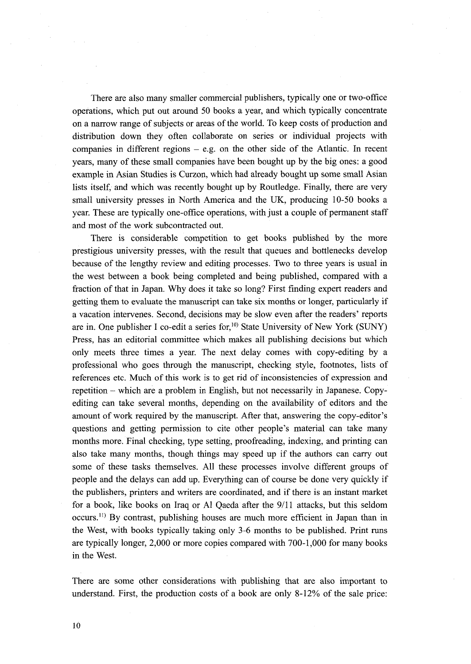There are also many smaller commercial publishers, typically one or two-office opetations, which put out around 50 books a year, and which typically concentrate on a narrow range of subjects or areas of the world. To keep costs of production and distribution down they often collaborate on series or individual projects with companies in different regions  $-$  e.g. on the other side of the Atlantic. In recent years, many of these small companies have been bought up by the big ones: a good example in Asian Studies is Curzon, which had already bought up some small Asian lists itself, and which was recently bought up by Routledge. Finally, there are very small university presses in North America and the UK, producing 10-50 books a year. These are typically one-office operations, with just a couple of permanent staff and most of the work subcontracted out.

 There is eonsiderable competition to get books published by the more prestigious university presses, with the result that queues and bottlenecks develop because of the lengthy review and editing processes. Two to three years is usual in the west between a book being completed and being published, compared with a fraction of that in Japan. Why does it take so long? First finding expert readers and getting them to evaluate the manuscript can take six months or longer, particularly if a vacation intervenes. Second, decisions may be slow even after the readers' reports are in. One publisher I co-edit a series for,<sup>10)</sup> State University of New York (SUNY) Press, has an editorial committee which makes all publishing decisions but which only meets three times a year. The next delay comes with copy-editing by a professional who goes through the manuscript, checking style, footnotes, lists of references etc. Much of this work is to get rid of inconsistencies of expression and repetition - which are a problem in English, but not necessarily in Japanese. Copy- editing can take several months, depending on the availability of editors and the amount of work required by the manuscript. After that, answering the copy-editor's questions and getting permission to cite other people's material can take many months more. Final checking, type setting, proofreading, indexing, and printing can also take many months, though things may speed up if the authors can carry out some of these tasks themselves. All these processes involve different groups of people and the delays can add up. Everything can of course be done very quickiy if the publishers, printers and writers are coordinated, and if there is an instant market for a book, like books on Iraq or Al Qaeda after the 9/11 attacks, but this seldom occurs.'i) By contrast, publishing houses are much more efficient in Japan than in the West, with books typicaliy taking only 3-6 months to be published. Print runs are typically longer, 2,OOO or more copies compared with 700-1,OOO for many books in the West.

There are some other considerations with publishing that are also important to understand. First, the production costs of a book are only 8-12% of the sale price: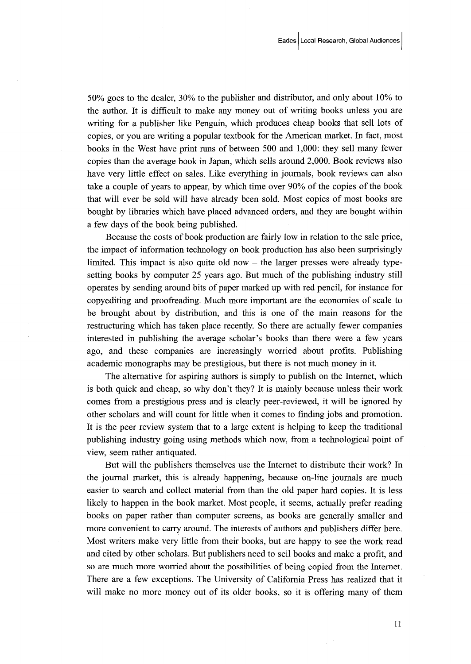50% goes to the dealer, 30% to the publisher and distributor, and only about 1O% to the author. It is difficult to make any money out of writing books unless you are writing for a publisher like Penguin, which produces cheap books that sell lots of copies, or you are writing a popular textbook for the American market. In fact, most books in the West have print runs of between 500 and 1,OOO: they sell many fewer copies than the average book in Japan, which sells around 2,OOO. Book reviews also have very little effect on sales. Like everything in journals, book reviews can also take a couple of years to appear, by which time over  $90\%$  of the copies of the book that will ever be sold will have already been sold. Most copies of most books are bought by libraries which have placed advanced orders, and they are bought within a few days of the book being published.

Because the costs of book production are fairly low in relation to the sale price, the impact of infbrmation technology on book production has also been surprisingly limited. This impact is also quite old now  $-$  the larger presses were already typesetting books by computer 25 years ago. But much of the publishing industry still operates by sending around bits of paper marked up with red pencil, for instance for copyediting and proofreading. Much more important are the economies of scale to be brought about by distribution, and this is one of the main reasons for the restmcturing which has taken place recently. So there are actually fewer companies interested in publishing the average scholar's books than there were a few years ago, and these companies are increasingly worried about profits. Publishing academic monographs may be prestigious, but there is not much money in it.

The alternative for aspiring authors is simply to publish on the Internet, which is both quick and cheap, so why don't they? It is mainly because unless their work comes from a prestigious press and is clearly peer-reviewed, it will be ignored by other scholars and will count for little when it comes to finding jobs and promotion. It is the peer review system that to a large extent is helping to keep the traditional publishing industry going using methods which now) from a technological point of view, seem rather antiquated.

 But will the publishers themselves use the Internet to distribute their wotk? In the journal matket, this is already happening, because on-line journals are much easier to search and collect material from than the old paper hard copies. It is less likely to happen in the book market. Most people, it seems, actually prefer reading books on paper rather than computer screens, as books are generally smaller and more convenient to carry around. The interests of authors and publishers differ here. Most writers make very little from their books, but are happy to see the work read and cited by other scholars. But publishers need to sell books and make a profit, and so are much more worried about the possibilities of being copied from the Internet. There are a few exceptions. The University of California Press has realized that it will make no more money out of its older books, so it is offering many of them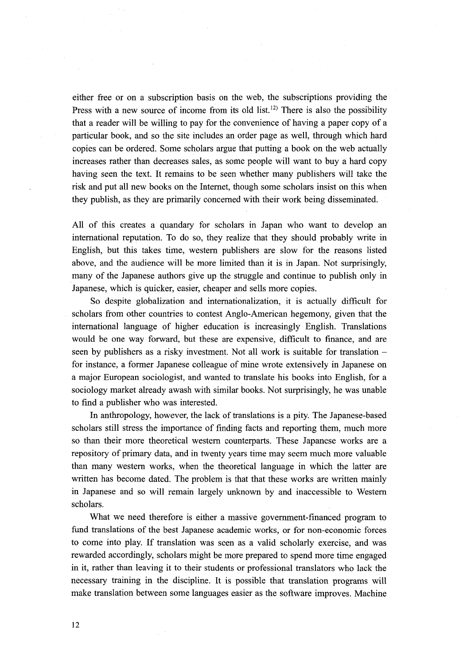either free or on a subscription basis on the web, the subscriptions providing the Press with a new source of income from its old list.<sup>12)</sup> There is also the possibility that a reader will be willing to pay for the convenience of having a paper copy of a particular book, and so the site includes an order page as well, through which hard copies can be ordered. Some scholars argue that putting a book on the web actually increases rather than decreases sales, as some people will want to buy a hard copy having seen the text. It remains to be seen whether many publishers will take the risk and put all new books on the Internet, though some scholars insist on this when they publish, as they are primarily concerned with their work being disseminated.

All of this creates a quandary for scholars in Japan who want to develop an international reputation. To do so, they realize that they should probably write in English, but this takes time, western publishers are slow for the reasons listed above, and the audience will be more limited than it is in Japan. Not surprisingly, many of the Japanese authors give up the struggle and continue to publish only in Japanese, which is quicker, easier, cheaper and sells more copies.

 So despite globalization and internationalization, it is actually difficult for scholars from other countries to contest Anglo-American hegemony, given that the international language of higher education is increasingly English. Translations would be one way forward, but these are expensive, difficult to finance, and are seen by publishers as a risky investment. Not all work is suitable for translation – for instance, a former Japanese colleague of mine wrote extensively in Japanese on a major European sociologist, and wanted to translate his books into English, for a sociology market already awash with similar books. Not surprisingly, he was unable to find a publisher who was interested.

In anthropology, however, the lack of translations is a pity. The Japanese-based scholars still stress the importance of finding facts and reporting them, much more so than their more theoretical western counterparts. These Japanese works are a repository of primary data, and in twenty years time may seem much more valuable than many western works, when the theoretical language in which the latter are written has become dated. The problem is that that these works are written mainly in Japanese and so will remain largely unknown by and inaccessible to Westem scholars.

What we need therefore is either a massive government-financed program to fund translations of the best Japanese academic works, or for non-economic forces to come into play. If translation was seen as a valid scholarly exercise, and was rewarded accordingly, scholars might be more prepared to spend more time engaged in it, rather than leaving it to their students or professional translators who lack the necessary training in the discipline. It is possible that translation programs will make translation between some languages easier as the software improves. Machine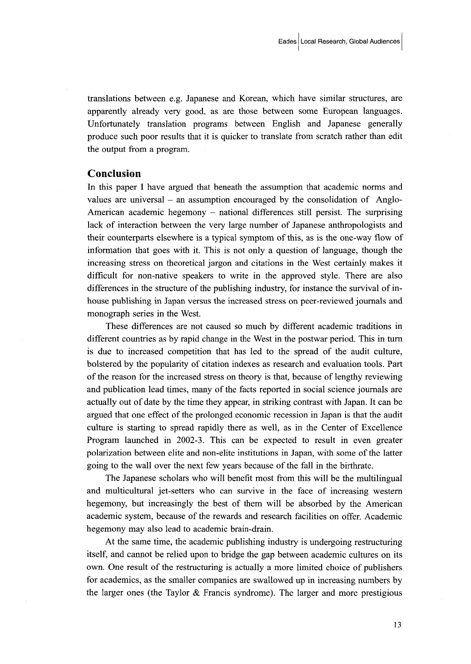translations between e.g. Japanese and Korean, which have similar structures, are apparently already very good, as are those between some European languages. Unfortunately translation programs between English and Japanese generally produce such poor results that it is quicker to translate from scratch rather than edit the output from a program.

# Conclusion

In this paper I have argued that beneath the assumption that academic norms and values are universal  $-$  an assumption encouraged by the consolidation of Anglo-American academic hegemony – national differences still persist. The surprising lack of interaction between the very large number of Japanese anthropologists and their counterparts elsewhere is a typicat symptom of this, as is the one-way flow of information that goes with it. This is not only a question of language, though the increasing stress on theoretical jargon and citations in the West certainly makes it difficult for non-native speakers to write in the approved style. There are also differences in the structure of the publishing industry, for instance the survival of inhouse publishing in Japan versus the increased stress on peer-reviewed journals and monograph series in the West.

 These differences are not caused so much by different academic traditions in different countries as by rapid change in the West in the postwar period. This in turn is due to increased competition that has led to the spread of the audit culture, bolstered by the popularity of citation indexes as research and evaiuation tools. Part of the reason for the increased stress on theory is that, because of lengthy reviewing and publication lead times, many of the facts reported in social science joumals are actually out of date by the time they appeag in striking contrast with Japan. It can be argued that one effect of the prolonged economic recession in Japan is that the audit culture is starting to spread rapidly there as well, as in the Center of Excellence Program launched in 2002-3. This can be expected to result in even greater polarization between elite and non-elite institutions in Japan, with some of the latter going to the wall over the next few years because of the fall in the birthrate.

 The Japanese scholars who will benefit most from this will be the multilingual and multicultural jet-setters who can survive in the face of increasing western hegemony, but increasingly the best of them will be absorbed by the American academic system, because of the rewards and research facilities on offer. Academic hegemony may also lead to academic brain-drain.

 At the same time, the academic publishing industry is undergoing restructuring itself, and cannot be relied upon to bridge the gap between academic cultures on its own. One result of the restructuring is actually a more limited choice of publishers for academics, as the smaller companies are swallowed up in increasing numbers by the larger ones (the Taylor  $&$  Francis syndrome). The larger and more prestigious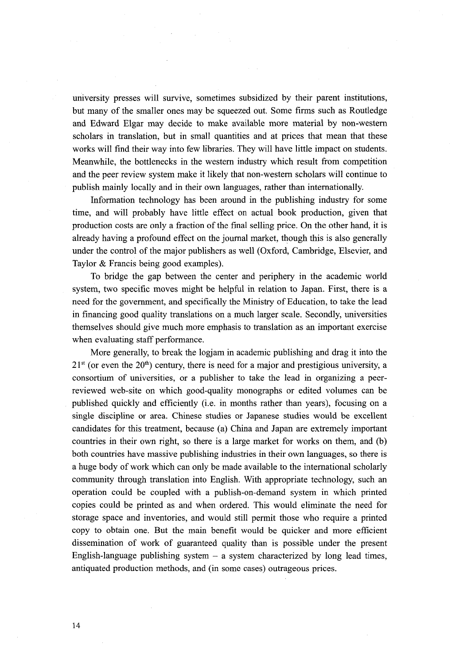university presses will survive, sometimes subsidized by their parent institutions, but many of the smaller ones may be squeezed out. Some firms such as Routledge and Edward Elgar may decide to make available more material by non-western scholars in translation, but in small quantities and at prices that mean that these works will find their way into few libraries. They will have little impact on students. Meanwhile, the bottlenecks in the western industry which result from competition and the peer review system make it likely that non-western scholars will continue to publish mainly lbcally and in their own languages, rather than internationally.

Information technology has been around in the publishing industry for some time, and will probably have little effect on actual book production, given that production costs are only a fraction of the final selling price. On the other hand, it is already having a profound effect on the journal market, though this is also generally under the control of the major publishers as well (Oxford, Cambridge, Elsevier, and Taylor & Francis being good examples).

 To bridge the gap between the center and periphery in the academic world system, two specific moves might be helpful in relation to Japan. First, there is a need for the government, and specifically the Ministry of Education, to take the lead in financing good quality translations on a much larger scale. Secondly, universities themselves should give much more emphasis to translation as an important exercise when evaluating staff performance.

 More generally, to break the logiam in academic publishing and drag it into the  $21<sup>st</sup>$  (or even the  $20<sup>th</sup>$ ) century, there is need for a major and prestigious university, a consortium of universities, or a publisher to take the lead in organizing a peerreviewed web-site on which good-quality monographs or edited volumes can be published quickly and efficiently (i.e. in months rather than years), focusing on a single discipline or area. Chinese studies or Japanese studies would be excellent candidates for this treatment, because (a) China and Japan are extremely important countries in their own right, so there is a large market for works on them, and (b) both countries have massive publishing industries in their own languages, so there is a huge body of work which can only be made available to the international scholarly community through translation into English. With appropriate technology, such an operation could be coupled with a publish-on-demand system in which printed copies could be printed as and when ordered. This would eliminate the need for storage space and inventories, and would still permit those who require a printed copy to obtain one. But the main benefit would be quicker and more efficient dissemination of work of guaranteed quality than is possible under the present English-language publishing system  $-$  a system characterized by long lead times, antiquated production methods, and (in some cases) outrageous prices.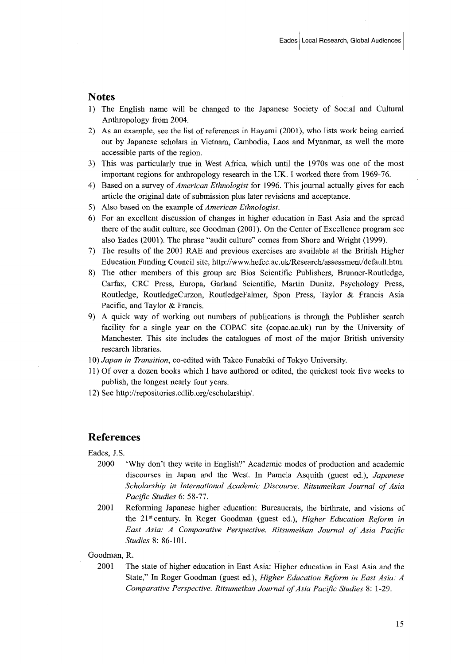## Notes

- 1) The English name will be changed to the Japanese Society of Social and Cultural Anthropology from 2004.
- 2) As an example, see the list ofreferences in Hayami (2001), who lists work being carried out by Japanese scholars in Vietnam, Carnhodia, Laos and Myanmar, as well the more accessible parts of the region.
- 3) This was particularly tme in West Africa, whioh until the 1970s was one of the most important regions for anthropology research in the UK. I worked there from 1969-76.
- 4) Based on a survey of *American Ethnologist* for 1996. This journal actually gives for each article the original date of submission plus later revisions and acceptance.
- 5) Also based on the example of *American Ethnologist*.
- 6) For an excellent discussion of changes in higher education in East Asia and the spread there of the audit culture, see Goodman (2001). On the Center of Excellence program see also Eades (2001). The phrase "audit culture" comes from Shore and Wright (1999).
- 7) The results of the 2001 RAE and previous exercises are available at the British Higher Education Funding Council site, http://www.hefce.ac.uk/Research/assessment/default.htm.
- 8) The other members of this group are Bios Scientific Publishers, Brunner-Routledge, Carfax, CRC Press, Europa, Garland Scientific, Martin Dunitz, Psychology Press, Routledge, RoutledgeCurzon, RoutledgeFalmer, Spon Press, Taylor & Francis Asia Pacific, and Taylor & Francis.
- 9) A quick way of working out numbers of publications is through the Publisher search facility for a single year on the COPAC site (copac.ac.uk) run by the University of Manchester. This site includes the catalogues of most of the major British university research libraries.

10) Japan in Transition, co-edited with Takeo Funabiki of Tokyo University.

- 11) Of over a dozen books which I have authored or edited, the quickest took five weeks to publish, the longest nearly four years.
- 12) See http://repositories.cdlib.org/escholarship/.

#### References

Eades, J.S.

- 2000 'Why don't they write in English?' Academic modes of production and academic discourses in Japan and the West. In Pamela Asquith (guest ed.), *Japanese* Scholarship in International Academic Discourse. Ritsumeikan Journal of Asia Pacific Studies 6: 58-77.
- 2001 Refbrming Japanese higher education: Bureaucrats, the birthrate, and visions of the 21st century. In Roger Goodman (guest ed.), Higher Education Reform in East Asia: A Comparative Perspective. Ritsumeikan Journal of Asia Pacific Studies 8: 86-101.

Goodman, R.

 2001 The state of higher education in East Asia: Higher education in East Asia and the State," In Roger Goodman (guest ed.), *Higher Education Reform in East Asia: A* Comparative Perspective. Ritsumeikan Journal of Asia Pacific Studies 8: 1-29.